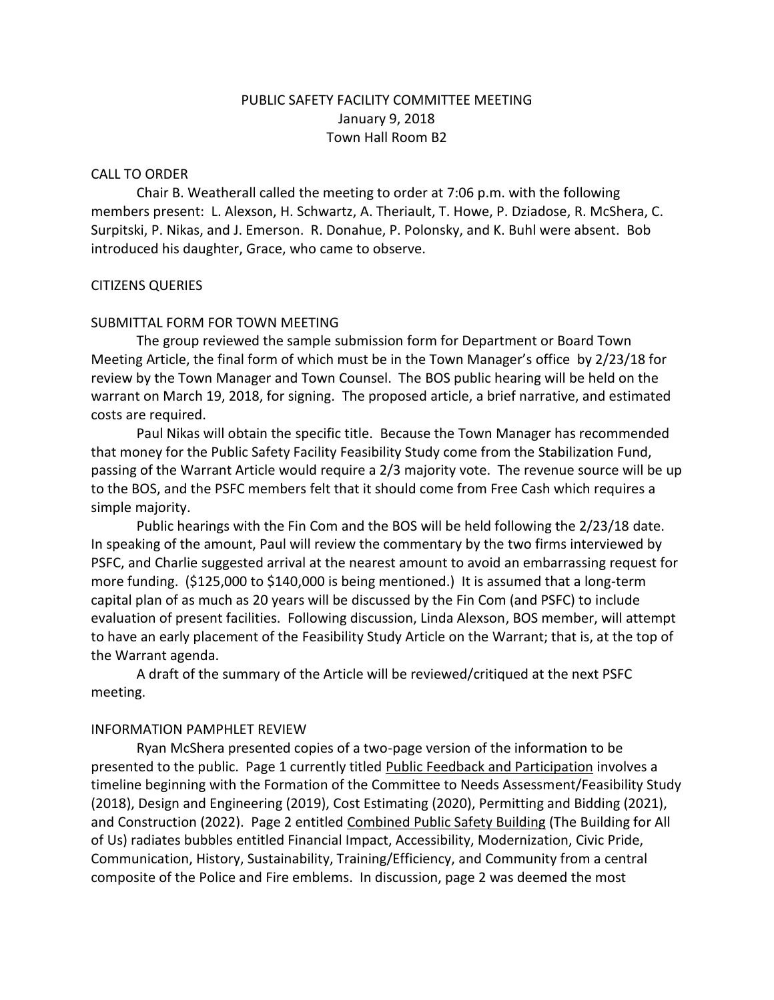# PUBLIC SAFETY FACILITY COMMITTEE MEETING January 9, 2018 Town Hall Room B2

### CALL TO ORDER

Chair B. Weatherall called the meeting to order at 7:06 p.m. with the following members present: L. Alexson, H. Schwartz, A. Theriault, T. Howe, P. Dziadose, R. McShera, C. Surpitski, P. Nikas, and J. Emerson. R. Donahue, P. Polonsky, and K. Buhl were absent. Bob introduced his daughter, Grace, who came to observe.

# CITIZENS QUERIES

# SUBMITTAL FORM FOR TOWN MEETING

The group reviewed the sample submission form for Department or Board Town Meeting Article, the final form of which must be in the Town Manager's office by 2/23/18 for review by the Town Manager and Town Counsel. The BOS public hearing will be held on the warrant on March 19, 2018, for signing. The proposed article, a brief narrative, and estimated costs are required.

Paul Nikas will obtain the specific title. Because the Town Manager has recommended that money for the Public Safety Facility Feasibility Study come from the Stabilization Fund, passing of the Warrant Article would require a 2/3 majority vote. The revenue source will be up to the BOS, and the PSFC members felt that it should come from Free Cash which requires a simple majority.

Public hearings with the Fin Com and the BOS will be held following the 2/23/18 date. In speaking of the amount, Paul will review the commentary by the two firms interviewed by PSFC, and Charlie suggested arrival at the nearest amount to avoid an embarrassing request for more funding. (\$125,000 to \$140,000 is being mentioned.) It is assumed that a long-term capital plan of as much as 20 years will be discussed by the Fin Com (and PSFC) to include evaluation of present facilities. Following discussion, Linda Alexson, BOS member, will attempt to have an early placement of the Feasibility Study Article on the Warrant; that is, at the top of the Warrant agenda.

A draft of the summary of the Article will be reviewed/critiqued at the next PSFC meeting.

### INFORMATION PAMPHLET REVIEW

Ryan McShera presented copies of a two-page version of the information to be presented to the public. Page 1 currently titled Public Feedback and Participation involves a timeline beginning with the Formation of the Committee to Needs Assessment/Feasibility Study (2018), Design and Engineering (2019), Cost Estimating (2020), Permitting and Bidding (2021), and Construction (2022). Page 2 entitled Combined Public Safety Building (The Building for All of Us) radiates bubbles entitled Financial Impact, Accessibility, Modernization, Civic Pride, Communication, History, Sustainability, Training/Efficiency, and Community from a central composite of the Police and Fire emblems. In discussion, page 2 was deemed the most